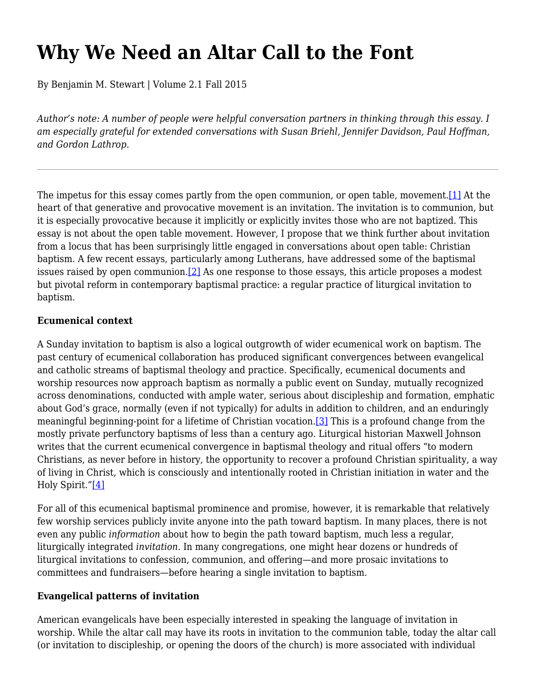# **Why We Need an Altar Call to the Font**

By Benjamin M. Stewart | Volume 2.1 Fall 2015

*Author's note: A number of people were helpful conversation partners in thinking through this essay. I am especially grateful for extended conversations with Susan Briehl, Jennifer Davidson, Paul Hoffman, and Gordon Lathrop.*

The impetus for this essay comes partly from the open communion, or open table, movement.<sup>[1]</sup> At the heart of that generative and provocative movement is an invitation*.* The invitation is to communion, but it is especially provocative because it implicitly or explicitly invites those who are not baptized. This essay is not about the open table movement. However, I propose that we think further about invitation from a locus that has been surprisingly little engaged in conversations about open table: Christian baptism. A few recent essays, particularly among Lutherans, have addressed some of the baptismal issues raised by open communion. [2] As one response to those essays, this article proposes a modest but pivotal reform in contemporary baptismal practice: a regular practice of liturgical invitation to baptism.

#### **Ecumenical context**

A Sunday invitation to baptism is also a logical outgrowth of wider ecumenical work on baptism. The past century of ecumenical collaboration has produced significant convergences between evangelical and catholic streams of baptismal theology and practice. Specifically, ecumenical documents and worship resources now approach baptism as normally a public event on Sunday, mutually recognized across denominations, conducted with ample water, serious about discipleship and formation, emphatic about God's grace, normally (even if not typically) for adults in addition to children, and an enduringly meaningful beginning-point for a lifetime of Christian vocation.[3] This is a profound change from the mostly private perfunctory baptisms of less than a century ago. Liturgical historian Maxwell Johnson writes that the current ecumenical convergence in baptismal theology and ritual offers "to modern Christians, as never before in history, the opportunity to recover a profound Christian spirituality, a way of living in Christ, which is consciously and intentionally rooted in Christian initiation in water and the Holy Spirit."[4]

For all of this ecumenical baptismal prominence and promise, however, it is remarkable that relatively few worship services publicly invite anyone into the path toward baptism. In many places, there is not even any public *information* about how to begin the path toward baptism, much less a regular, liturgically integrated *invitation*. In many congregations, one might hear dozens or hundreds of liturgical invitations to confession, communion, and offering—and more prosaic invitations to committees and fundraisers—before hearing a single invitation to baptism.

### **Evangelical patterns of invitation**

American evangelicals have been especially interested in speaking the language of invitation in worship. While the altar call may have its roots in invitation to the communion table, today the altar call (or invitation to discipleship, or opening the doors of the church) is more associated with individual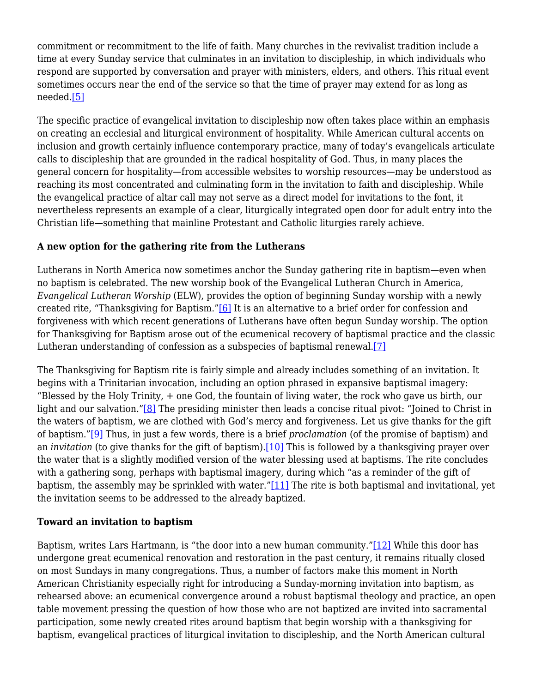commitment or recommitment to the life of faith. Many churches in the revivalist tradition include a time at every Sunday service that culminates in an invitation to discipleship, in which individuals who respond are supported by conversation and prayer with ministers, elders, and others. This ritual event sometimes occurs near the end of the service so that the time of prayer may extend for as long as needed.[5]

The specific practice of evangelical invitation to discipleship now often takes place within an emphasis on creating an ecclesial and liturgical environment of hospitality. While American cultural accents on inclusion and growth certainly influence contemporary practice, many of today's evangelicals articulate calls to discipleship that are grounded in the radical hospitality of God. Thus, in many places the general concern for hospitality—from accessible websites to worship resources—may be understood as reaching its most concentrated and culminating form in the invitation to faith and discipleship. While the evangelical practice of altar call may not serve as a direct model for invitations to the font, it nevertheless represents an example of a clear, liturgically integrated open door for adult entry into the Christian life—something that mainline Protestant and Catholic liturgies rarely achieve.

#### **A new option for the gathering rite from the Lutherans**

Lutherans in North America now sometimes anchor the Sunday gathering rite in baptism—even when no baptism is celebrated. The new worship book of the Evangelical Lutheran Church in America, *Evangelical Lutheran Worship* (ELW), provides the option of beginning Sunday worship with a newly created rite, "Thanksgiving for Baptism."[6] It is an alternative to a brief order for confession and forgiveness with which recent generations of Lutherans have often begun Sunday worship. The option for Thanksgiving for Baptism arose out of the ecumenical recovery of baptismal practice and the classic Lutheran understanding of confession as a subspecies of baptismal renewal.[7]

The Thanksgiving for Baptism rite is fairly simple and already includes something of an invitation. It begins with a Trinitarian invocation, including an option phrased in expansive baptismal imagery: "Blessed by the Holy Trinity, + one God, the fountain of living water, the rock who gave us birth, our light and our salvation."<sup>[8]</sup> The presiding minister then leads a concise ritual pivot: "Joined to Christ in the waters of baptism, we are clothed with God's mercy and forgiveness. Let us give thanks for the gift of baptism."[9] Thus, in just a few words, there is a brief *proclamation* (of the promise of baptism) and an *invitation* (to give thanks for the gift of baptism).[10] This is followed by a thanksgiving prayer over the water that is a slightly modified version of the water blessing used at baptisms. The rite concludes with a gathering song, perhaps with baptismal imagery, during which "as a reminder of the gift of baptism, the assembly may be sprinkled with water."[11] The rite is both baptismal and invitational, yet the invitation seems to be addressed to the already baptized.

### **Toward an invitation to baptism**

Baptism, writes Lars Hartmann, is "the door into a new human community."[12] While this door has undergone great ecumenical renovation and restoration in the past century, it remains ritually closed on most Sundays in many congregations. Thus, a number of factors make this moment in North American Christianity especially right for introducing a Sunday-morning invitation into baptism, as rehearsed above: an ecumenical convergence around a robust baptismal theology and practice, an open table movement pressing the question of how those who are not baptized are invited into sacramental participation, some newly created rites around baptism that begin worship with a thanksgiving for baptism, evangelical practices of liturgical invitation to discipleship, and the North American cultural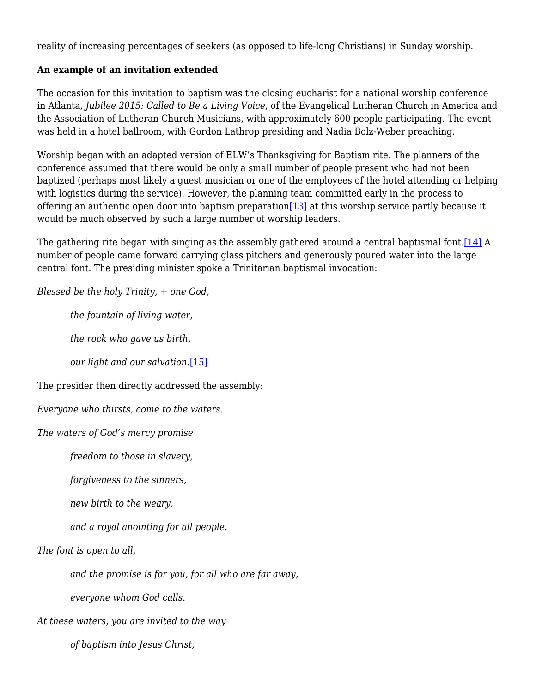reality of increasing percentages of seekers (as opposed to life-long Christians) in Sunday worship.

#### **An example of an invitation extended**

The occasion for this invitation to baptism was the closing eucharist for a national worship conference in Atlanta, *Jubilee 2015: Called to Be a Living Voice*, of the Evangelical Lutheran Church in America and the Association of Lutheran Church Musicians, with approximately 600 people participating. The event was held in a hotel ballroom, with Gordon Lathrop presiding and Nadia Bolz-Weber preaching.

Worship began with an adapted version of ELW's Thanksgiving for Baptism rite. The planners of the conference assumed that there would be only a small number of people present who had not been baptized (perhaps most likely a guest musician or one of the employees of the hotel attending or helping with logistics during the service). However, the planning team committed early in the process to offering an authentic open door into baptism preparation  $[13]$  at this worship service partly because it would be much observed by such a large number of worship leaders.

The gathering rite began with singing as the assembly gathered around a central baptismal font. [14] A number of people came forward carrying glass pitchers and generously poured water into the large central font. The presiding minister spoke a Trinitarian baptismal invocation:

*Blessed be the holy Trinity, + one God,*

 *the fountain of living water,*

 *the rock who gave us birth,*

 *our light and our salvation.*[15]

The presider then directly addressed the assembly:

*Everyone who thirsts, come to the waters.*

*The waters of God's mercy promise* 

 *freedom to those in slavery,*

 *forgiveness to the sinners,*

 *new birth to the weary,*

 *and a royal anointing for all people.*

*The font is open to all,* 

 *and the promise is for you, for all who are far away,* 

 *everyone whom God calls.*

*At these waters, you are invited to the way* 

 *of baptism into Jesus Christ,*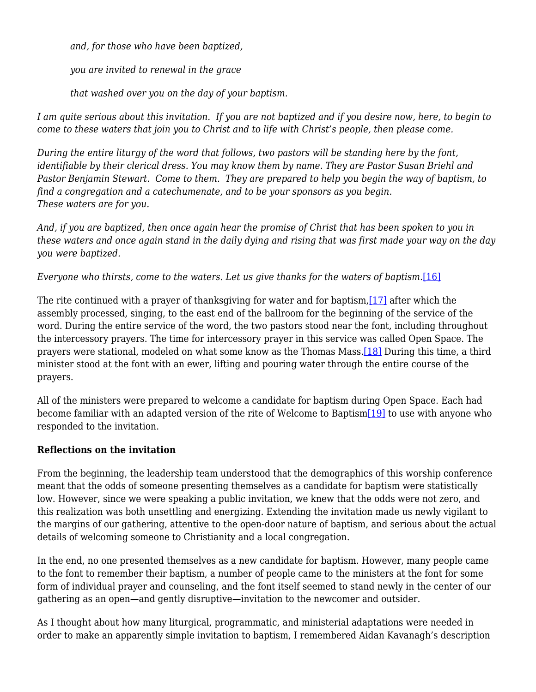*and, for those who have been baptized,* 

 *you are invited to renewal in the grace* 

 *that washed over you on the day of your baptism.*

*I am quite serious about this invitation. If you are not baptized and if you desire now, here, to begin to come to these waters that join you to Christ and to life with Christ's people, then please come.* 

*During the entire liturgy of the word that follows, two pastors will be standing here by the font, identifiable by their clerical dress. You may know them by name. They are Pastor Susan Briehl and Pastor Benjamin Stewart. Come to them. They are prepared to help you begin the way of baptism, to find a congregation and a catechumenate, and to be your sponsors as you begin. These waters are for you.*

*And, if you are baptized, then once again hear the promise of Christ that has been spoken to you in these waters and once again stand in the daily dying and rising that was first made your way on the day you were baptized.*

*Everyone who thirsts, come to the waters. Let us give thanks for the waters of baptism.*[16]

The rite continued with a prayer of thanksgiving for water and for baptism,  $[17]$  after which the assembly processed, singing, to the east end of the ballroom for the beginning of the service of the word. During the entire service of the word, the two pastors stood near the font, including throughout the intercessory prayers. The time for intercessory prayer in this service was called Open Space. The prayers were stational, modeled on what some know as the Thomas Mass.[18] During this time, a third minister stood at the font with an ewer, lifting and pouring water through the entire course of the prayers.

All of the ministers were prepared to welcome a candidate for baptism during Open Space. Each had become familiar with an adapted version of the rite of Welcome to Baptism[19] to use with anyone who responded to the invitation.

## **Reflections on the invitation**

From the beginning, the leadership team understood that the demographics of this worship conference meant that the odds of someone presenting themselves as a candidate for baptism were statistically low. However, since we were speaking a public invitation, we knew that the odds were not zero, and this realization was both unsettling and energizing. Extending the invitation made us newly vigilant to the margins of our gathering, attentive to the open-door nature of baptism, and serious about the actual details of welcoming someone to Christianity and a local congregation.

In the end, no one presented themselves as a new candidate for baptism. However, many people came to the font to remember their baptism, a number of people came to the ministers at the font for some form of individual prayer and counseling, and the font itself seemed to stand newly in the center of our gathering as an open—and gently disruptive—invitation to the newcomer and outsider.

As I thought about how many liturgical, programmatic, and ministerial adaptations were needed in order to make an apparently simple invitation to baptism, I remembered Aidan Kavanagh's description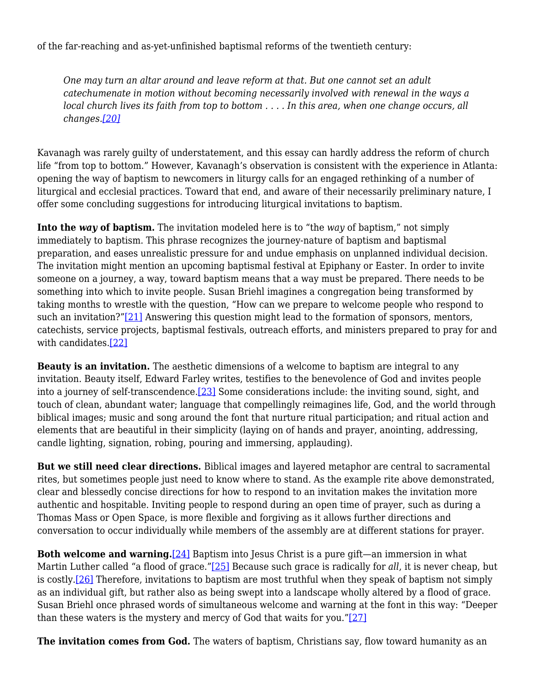of the far-reaching and as-yet-unfinished baptismal reforms of the twentieth century:

*One may turn an altar around and leave reform at that. But one cannot set an adult catechumenate in motion without becoming necessarily involved with renewal in the ways a local church lives its faith from top to bottom . . . . In this area, when one change occurs, all changes.[20]*

Kavanagh was rarely guilty of understatement, and this essay can hardly address the reform of church life "from top to bottom." However, Kavanagh's observation is consistent with the experience in Atlanta: opening the way of baptism to newcomers in liturgy calls for an engaged rethinking of a number of liturgical and ecclesial practices. Toward that end, and aware of their necessarily preliminary nature, I offer some concluding suggestions for introducing liturgical invitations to baptism.

**Into the** *way* **of baptism.** The invitation modeled here is to "the *way* of baptism," not simply immediately to baptism. This phrase recognizes the journey-nature of baptism and baptismal preparation, and eases unrealistic pressure for and undue emphasis on unplanned individual decision. The invitation might mention an upcoming baptismal festival at Epiphany or Easter. In order to invite someone on a journey, a way, toward baptism means that a way must be prepared. There needs to be something into which to invite people. Susan Briehl imagines a congregation being transformed by taking months to wrestle with the question, "How can we prepare to welcome people who respond to such an invitation?"[21] Answering this question might lead to the formation of sponsors, mentors, catechists, service projects, baptismal festivals, outreach efforts, and ministers prepared to pray for and with candidates.[22]

**Beauty is an invitation.** The aesthetic dimensions of a welcome to baptism are integral to any invitation. Beauty itself, Edward Farley writes, testifies to the benevolence of God and invites people into a journey of self-transcendence.[23] Some considerations include: the inviting sound, sight, and touch of clean, abundant water; language that compellingly reimagines life, God, and the world through biblical images; music and song around the font that nurture ritual participation; and ritual action and elements that are beautiful in their simplicity (laying on of hands and prayer, anointing, addressing, candle lighting, signation, robing, pouring and immersing, applauding).

**But we still need clear directions.** Biblical images and layered metaphor are central to sacramental rites, but sometimes people just need to know where to stand. As the example rite above demonstrated, clear and blessedly concise directions for how to respond to an invitation makes the invitation more authentic and hospitable. Inviting people to respond during an open time of prayer, such as during a Thomas Mass or Open Space, is more flexible and forgiving as it allows further directions and conversation to occur individually while members of the assembly are at different stations for prayer.

**Both welcome and warning.**[24] Baptism into Jesus Christ is a pure gift—an immersion in what Martin Luther called "a flood of grace."[25] Because such grace is radically for *all*, it is never cheap, but is costly.[26] Therefore, invitations to baptism are most truthful when they speak of baptism not simply as an individual gift, but rather also as being swept into a landscape wholly altered by a flood of grace. Susan Briehl once phrased words of simultaneous welcome and warning at the font in this way: "Deeper than these waters is the mystery and mercy of God that waits for you." $[27]$ 

**The invitation comes from God.** The waters of baptism, Christians say, flow toward humanity as an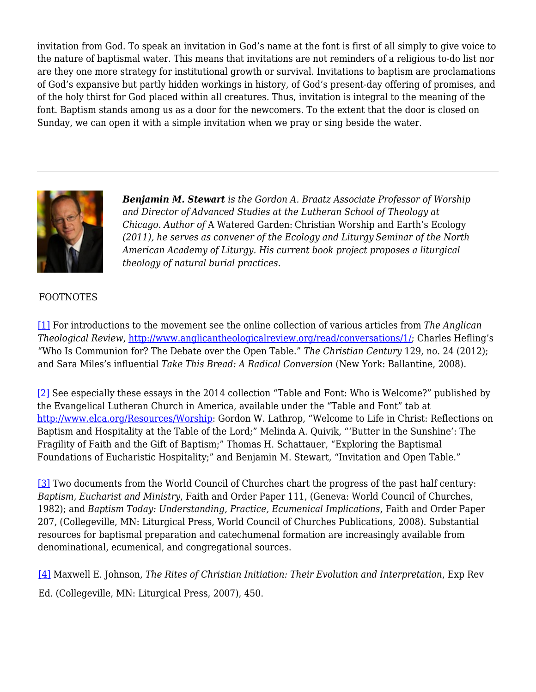invitation from God. To speak an invitation in God's name at the font is first of all simply to give voice to the nature of baptismal water. This means that invitations are not reminders of a religious to-do list nor are they one more strategy for institutional growth or survival. Invitations to baptism are proclamations of God's expansive but partly hidden workings in history, of God's present-day offering of promises, and of the holy thirst for God placed within all creatures. Thus, invitation is integral to the meaning of the font. Baptism stands among us as a door for the newcomers. To the extent that the door is closed on Sunday, we can open it with a simple invitation when we pray or sing beside the water.



*Benjamin M. Stewart is the Gordon A. Braatz Associate Professor of Worship and Director of Advanced Studies at the Lutheran School of Theology at Chicago. Author of* A Watered Garden: Christian Worship and Earth's Ecology *(2011), he serves as convener of the Ecology and Liturgy Seminar of the North American Academy of Liturgy. His current book project proposes a liturgical theology of natural burial practices.*

### FOOTNOTES

[1] For introductions to the movement see the online collection of various articles from *The Anglican Theological Review*, http://www.anglicantheologicalreview.org/read/conversations/1/; Charles Hefling's "Who Is Communion for? The Debate over the Open Table." *The Christian Century* 129, no. 24 (2012); and Sara Miles's influential *Take This Bread: A Radical Conversion* (New York: Ballantine, 2008).

[2] See especially these essays in the 2014 collection "Table and Font: Who is Welcome?" published by the Evangelical Lutheran Church in America, available under the "Table and Font" tab at http://www.elca.org/Resources/Worship: Gordon W. Lathrop, "Welcome to Life in Christ: Reflections on Baptism and Hospitality at the Table of the Lord;" Melinda A. Quivik, "'Butter in the Sunshine': The Fragility of Faith and the Gift of Baptism;" Thomas H. Schattauer, "Exploring the Baptismal Foundations of Eucharistic Hospitality;" and Benjamin M. Stewart, "Invitation and Open Table."

[3] Two documents from the World Council of Churches chart the progress of the past half century: *Baptism, Eucharist and Ministry*, Faith and Order Paper 111, (Geneva: World Council of Churches, 1982); and *Baptism Today: Understanding, Practice, Ecumenical Implications*, Faith and Order Paper 207, (Collegeville, MN: Liturgical Press, World Council of Churches Publications, 2008). Substantial resources for baptismal preparation and catechumenal formation are increasingly available from denominational, ecumenical, and congregational sources.

[4] Maxwell E. Johnson, *The Rites of Christian Initiation: Their Evolution and Interpretation*, Exp Rev Ed. (Collegeville, MN: Liturgical Press, 2007), 450.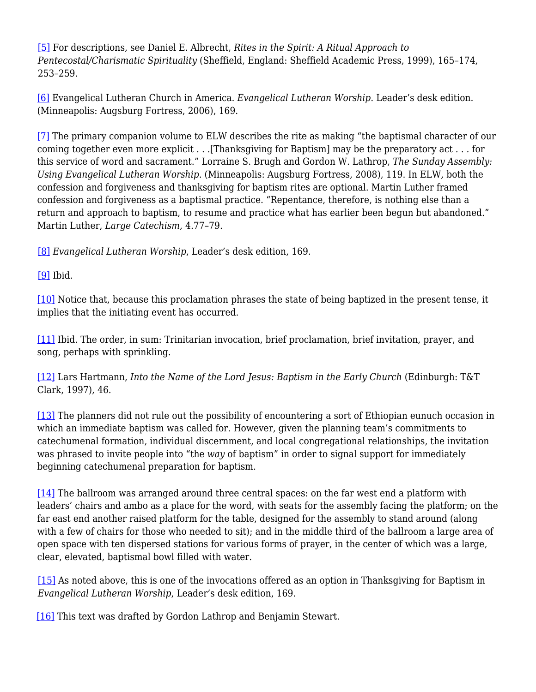[5] For descriptions, see Daniel E. Albrecht, *Rites in the Spirit: A Ritual Approach to Pentecostal/Charismatic Spirituality* (Sheffield, England: Sheffield Academic Press, 1999), 165–174, 253–259.

[6] Evangelical Lutheran Church in America. *Evangelical Lutheran Worship*. Leader's desk edition. (Minneapolis: Augsburg Fortress, 2006), 169.

[7] The primary companion volume to ELW describes the rite as making "the baptismal character of our coming together even more explicit . . .[Thanksgiving for Baptism] may be the preparatory act . . . for this service of word and sacrament." Lorraine S. Brugh and Gordon W. Lathrop, *The Sunday Assembly: Using Evangelical Lutheran Worship*. (Minneapolis: Augsburg Fortress, 2008), 119. In ELW*,* both the confession and forgiveness and thanksgiving for baptism rites are optional. Martin Luther framed confession and forgiveness as a baptismal practice. "Repentance, therefore, is nothing else than a return and approach to baptism, to resume and practice what has earlier been begun but abandoned." Martin Luther, *Large Catechism*, 4.77–79.

[8] *Evangelical Lutheran Worship*, Leader's desk edition, 169.

[9] Ibid.

[10] Notice that, because this proclamation phrases the state of being baptized in the present tense, it implies that the initiating event has occurred.

[11] Ibid. The order, in sum: Trinitarian invocation, brief proclamation, brief invitation, prayer, and song, perhaps with sprinkling.

[12] Lars Hartmann, *Into the Name of the Lord Jesus: Baptism in the Early Church* (Edinburgh: T&T Clark, 1997), 46.

[13] The planners did not rule out the possibility of encountering a sort of Ethiopian eunuch occasion in which an immediate baptism was called for. However, given the planning team's commitments to catechumenal formation, individual discernment, and local congregational relationships, the invitation was phrased to invite people into "the *way* of baptism" in order to signal support for immediately beginning catechumenal preparation for baptism.

[14] The ballroom was arranged around three central spaces: on the far west end a platform with leaders' chairs and ambo as a place for the word, with seats for the assembly facing the platform; on the far east end another raised platform for the table, designed for the assembly to stand around (along with a few of chairs for those who needed to sit); and in the middle third of the ballroom a large area of open space with ten dispersed stations for various forms of prayer, in the center of which was a large, clear, elevated, baptismal bowl filled with water.

[15] As noted above, this is one of the invocations offered as an option in Thanksgiving for Baptism in *Evangelical Lutheran Worship*, Leader's desk edition, 169.

[16] This text was drafted by Gordon Lathrop and Benjamin Stewart.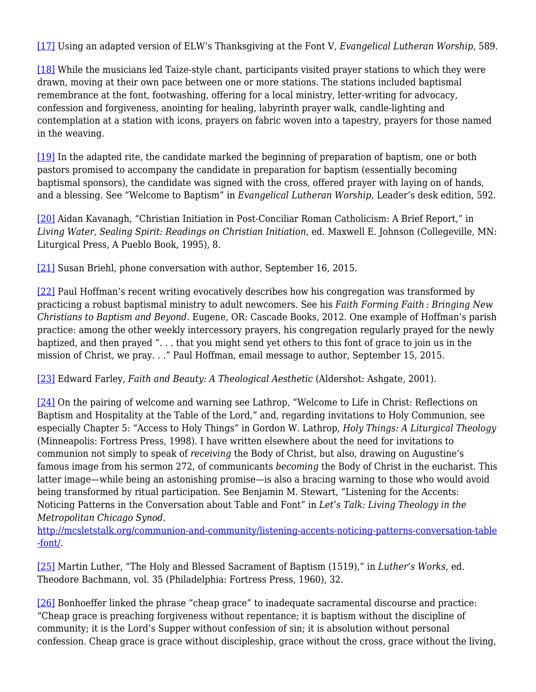[17] Using an adapted version of ELW's Thanksgiving at the Font V, *Evangelical Lutheran Worship*, 589.

[18] While the musicians led Taize-style chant, participants visited prayer stations to which they were drawn, moving at their own pace between one or more stations. The stations included baptismal remembrance at the font, footwashing, offering for a local ministry, letter-writing for advocacy, confession and forgiveness, anointing for healing, labyrinth prayer walk, candle-lighting and contemplation at a station with icons, prayers on fabric woven into a tapestry, prayers for those named in the weaving.

[19] In the adapted rite, the candidate marked the beginning of preparation of baptism, one or both pastors promised to accompany the candidate in preparation for baptism (essentially becoming baptismal sponsors), the candidate was signed with the cross, offered prayer with laying on of hands, and a blessing. See "Welcome to Baptism" in *Evangelical Lutheran Worship*, Leader's desk edition, 592.

[20] Aidan Kavanagh, "Christian Initiation in Post-Conciliar Roman Catholicism: A Brief Report," in *Living Water, Sealing Spirit: Readings on Christian Initiation*, ed. Maxwell E. Johnson (Collegeville, MN: Liturgical Press, A Pueblo Book, 1995), 8.

[21] Susan Briehl, phone conversation with author, September 16, 2015.

[22] Paul Hoffman's recent writing evocatively describes how his congregation was transformed by practicing a robust baptismal ministry to adult newcomers. See his *Faith Forming Faith : Bringing New Christians to Baptism and Beyond*. Eugene, OR: Cascade Books, 2012. One example of Hoffman's parish practice: among the other weekly intercessory prayers, his congregation regularly prayed for the newly baptized, and then prayed ". . . that you might send yet others to this font of grace to join us in the mission of Christ, we pray. . ." Paul Hoffman, email message to author, September 15, 2015.

[23] Edward Farley, *Faith and Beauty: A Theological Aesthetic* (Aldershot: Ashgate, 2001).

[24] On the pairing of welcome and warning see Lathrop, "Welcome to Life in Christ: Reflections on Baptism and Hospitality at the Table of the Lord," and, regarding invitations to Holy Communion, see especially Chapter 5: "Access to Holy Things" in Gordon W. Lathrop, *Holy Things: A Liturgical Theology* (Minneapolis: Fortress Press, 1998). I have written elsewhere about the need for invitations to communion not simply to speak of *receiving* the Body of Christ, but also, drawing on Augustine's famous image from his sermon 272, of communicants *becoming* the Body of Christ in the eucharist. This latter image—while being an astonishing promise—is also a bracing warning to those who would avoid being transformed by ritual participation. See Benjamin M. Stewart, "Listening for the Accents: Noticing Patterns in the Conversation about Table and Font" in *Let's Talk: Living Theology in the Metropolitan Chicago Synod*.

http://mcsletstalk.org/communion-and-community/listening-accents-noticing-patterns-conversation-table -font/.

[25] Martin Luther, "The Holy and Blessed Sacrament of Baptism (1519)," in *Luther's Works*, ed. Theodore Bachmann, vol. 35 (Philadelphia: Fortress Press, 1960), 32.

[26] Bonhoeffer linked the phrase "cheap grace" to inadequate sacramental discourse and practice: "Cheap grace is preaching forgiveness without repentance; it is baptism without the discipline of community; it is the Lord's Supper without confession of sin; it is absolution without personal confession. Cheap grace is grace without discipleship, grace without the cross, grace without the living,